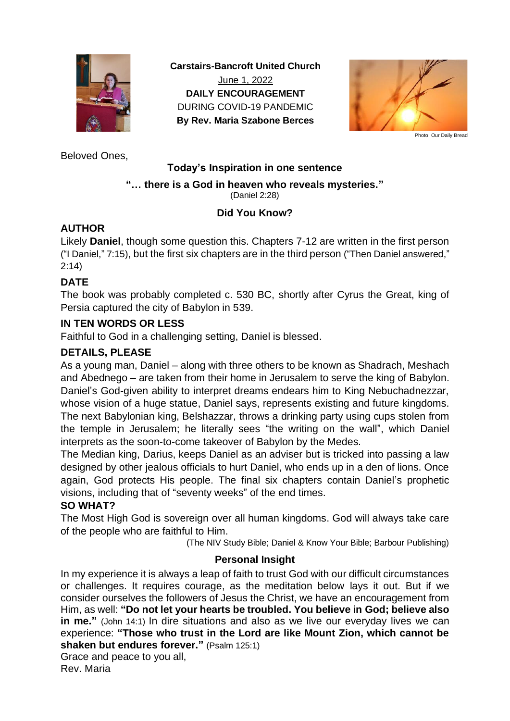

**Carstairs-Bancroft United Church** June 1, 2022 **DAILY ENCOURAGEMENT** DURING COVID-19 PANDEMIC **By Rev. Maria Szabone Berces**



Photo: Our Daily Bread

Beloved Ones,

## **Today's Inspiration in one sentence**

## **"… there is a God in heaven who reveals mysteries."**

(Daniel 2:28)

# **Did You Know?**

## **AUTHOR**

Likely **Daniel**, though some question this. Chapters 7-12 are written in the first person ("I Daniel," 7:15), but the first six chapters are in the third person ("Then Daniel answered," 2:14)

## **DATE**

The book was probably completed c. 530 BC, shortly after Cyrus the Great, king of Persia captured the city of Babylon in 539.

#### **IN TEN WORDS OR LESS**

Faithful to God in a challenging setting, Daniel is blessed.

## **DETAILS, PLEASE**

As a young man, Daniel – along with three others to be known as Shadrach, Meshach and Abednego – are taken from their home in Jerusalem to serve the king of Babylon. Daniel's God-given ability to interpret dreams endears him to King Nebuchadnezzar, whose vision of a huge statue, Daniel says, represents existing and future kingdoms. The next Babylonian king, Belshazzar, throws a drinking party using cups stolen from the temple in Jerusalem; he literally sees "the writing on the wall", which Daniel interprets as the soon-to-come takeover of Babylon by the Medes.

The Median king, Darius, keeps Daniel as an adviser but is tricked into passing a law designed by other jealous officials to hurt Daniel, who ends up in a den of lions. Once again, God protects His people. The final six chapters contain Daniel's prophetic visions, including that of "seventy weeks" of the end times.

#### **SO WHAT?**

The Most High God is sovereign over all human kingdoms. God will always take care of the people who are faithful to Him.

(The NIV Study Bible; Daniel & Know Your Bible; Barbour Publishing)

## **Personal Insight**

In my experience it is always a leap of faith to trust God with our difficult circumstances or challenges. It requires courage, as the meditation below lays it out. But if we consider ourselves the followers of Jesus the Christ, we have an encouragement from Him, as well: **"Do not let your hearts be troubled. You believe in God; believe also in me."** (John 14:1) In dire situations and also as we live our everyday lives we can experience: **"Those who trust in the Lord are like Mount Zion, which cannot be shaken but endures forever."** (Psalm 125:1)

#### Grace and peace to you all,

Rev. Maria